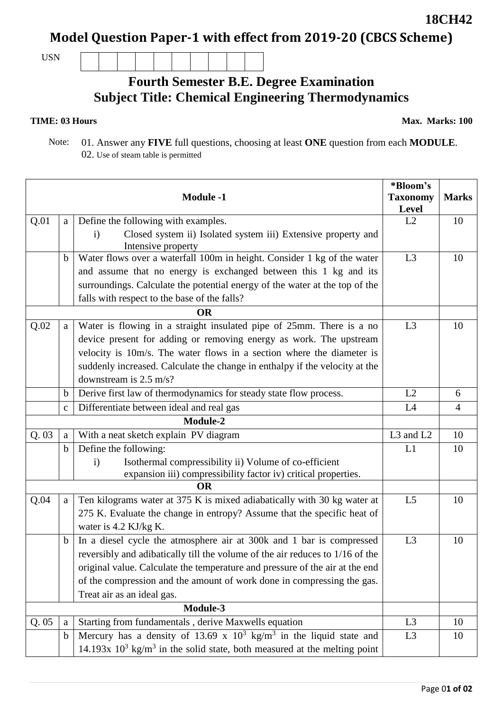## **Model Question Paper-1 with effect from 2019-20 (CBCS Scheme)**

USN

## **Fourth Semester B.E. Degree Examination Subject Title: Chemical Engineering Thermodynamics**

## **TIME: 03 Hours**

**Max. Marks: 100**

 Note: 01. Answer any **FIVE** full questions, choosing at least **ONE** question from each **MODULE**. 02. Use of steam table is permitted

| <b>Module -1</b> |              |                                                                                         | *Bloom's                 |                |
|------------------|--------------|-----------------------------------------------------------------------------------------|--------------------------|----------------|
|                  |              |                                                                                         | <b>Taxonomy</b><br>Level | <b>Marks</b>   |
| Q.01             | a            | Define the following with examples.                                                     | L2                       | 10             |
|                  |              | Closed system ii) Isolated system iii) Extensive property and<br>$\mathbf{i}$           |                          |                |
|                  |              | Intensive property                                                                      |                          |                |
|                  | b            | Water flows over a waterfall 100m in height. Consider 1 kg of the water                 | L <sub>3</sub>           | 10             |
|                  |              | and assume that no energy is exchanged between this 1 kg and its                        |                          |                |
|                  |              | surroundings. Calculate the potential energy of the water at the top of the             |                          |                |
|                  |              | falls with respect to the base of the falls?                                            |                          |                |
|                  |              | <b>OR</b>                                                                               |                          |                |
| Q.02             | a            | Water is flowing in a straight insulated pipe of 25mm. There is a no                    | L <sub>3</sub>           | 10             |
|                  |              | device present for adding or removing energy as work. The upstream                      |                          |                |
|                  |              | velocity is 10m/s. The water flows in a section where the diameter is                   |                          |                |
|                  |              | suddenly increased. Calculate the change in enthalpy if the velocity at the             |                          |                |
|                  |              | downstream is $2.5 \text{ m/s}$ ?                                                       |                          |                |
|                  | b            | Derive first law of thermodynamics for steady state flow process.                       | L2                       | 6              |
|                  | $\mathbf{C}$ | Differentiate between ideal and real gas                                                | L4                       | $\overline{4}$ |
| Module-2         |              |                                                                                         |                          |                |
| Q.03             | a            | With a neat sketch explain PV diagram                                                   | L3 and L2                | 10             |
|                  | $\mathbf b$  | Define the following:                                                                   | L1                       | 10             |
|                  |              | Isothermal compressibility ii) Volume of co-efficient<br>$\mathbf{i}$                   |                          |                |
|                  |              | expansion iii) compressibility factor iv) critical properties.<br><b>OR</b>             |                          |                |
|                  |              |                                                                                         |                          |                |
| Q.04             | a            | Ten kilograms water at 375 K is mixed adiabatically with 30 kg water at                 | L <sub>5</sub>           | 10             |
|                  |              | 275 K. Evaluate the change in entropy? Assume that the specific heat of                 |                          |                |
|                  |              | water is 4.2 KJ/kg K.                                                                   |                          |                |
|                  | $\mathbf b$  | In a diesel cycle the atmosphere air at 300k and 1 bar is compressed                    | L <sub>3</sub>           | 10             |
|                  |              | reversibly and adibatically till the volume of the air reduces to 1/16 of the           |                          |                |
|                  |              | original value. Calculate the temperature and pressure of the air at the end            |                          |                |
|                  |              | of the compression and the amount of work done in compressing the gas.                  |                          |                |
|                  |              | Treat air as an ideal gas.                                                              |                          |                |
|                  |              | Module-3                                                                                |                          |                |
| Q. 05            | a            | Starting from fundamentals, derive Maxwells equation                                    | L <sub>3</sub>           | 10             |
|                  | $\mathbf b$  | Mercury has a density of 13.69 x $10^3$ kg/m <sup>3</sup> in the liquid state and       | L <sub>3</sub>           | 10             |
|                  |              | 14.193x $10^3$ kg/m <sup>3</sup> in the solid state, both measured at the melting point |                          |                |